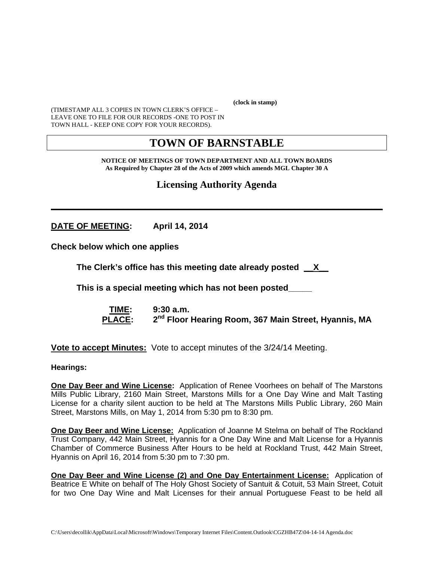**(clock in stamp)** 

(TIMESTAMP ALL 3 COPIES IN TOWN CLERK'S OFFICE – LEAVE ONE TO FILE FOR OUR RECORDS -ONE TO POST IN TOWN HALL - KEEP ONE COPY FOR YOUR RECORDS).

# **TOWN OF BARNSTABLE**

**NOTICE OF MEETINGS OF TOWN DEPARTMENT AND ALL TOWN BOARDS As Required by Chapter 28 of the Acts of 2009 which amends MGL Chapter 30 A** 

**Licensing Authority Agenda**

**\_\_\_\_\_\_\_\_\_\_\_\_\_\_\_\_\_\_\_\_\_\_\_\_\_\_\_\_\_\_\_\_\_\_\_\_\_\_\_\_\_\_\_\_\_\_\_\_\_\_\_\_\_\_\_\_\_\_\_\_**

**DATE OF MEETING: April 14, 2014** 

**Check below which one applies** 

**The Clerk's office has this meeting date already posted \_\_X\_\_**

 **This is a special meeting which has not been posted\_\_\_\_\_** 

 **TIME: 9:30 a.m.**  PLACE: 2<sup>nd</sup> Floor Hearing Room, 367 Main Street, Hyannis, MA

**Vote to accept Minutes:** Vote to accept minutes of the 3/24/14 Meeting.

**Hearings:** 

**One Day Beer and Wine License:** Application of Renee Voorhees on behalf of The Marstons Mills Public Library, 2160 Main Street, Marstons Mills for a One Day Wine and Malt Tasting License for a charity silent auction to be held at The Marstons Mills Public Library, 260 Main Street, Marstons Mills, on May 1, 2014 from 5:30 pm to 8:30 pm.

**One Day Beer and Wine License:** Application of Joanne M Stelma on behalf of The Rockland Trust Company, 442 Main Street, Hyannis for a One Day Wine and Malt License for a Hyannis Chamber of Commerce Business After Hours to be held at Rockland Trust, 442 Main Street, Hyannis on April 16, 2014 from 5:30 pm to 7:30 pm.

**One Day Beer and Wine License (2) and One Day Entertainment License:** Application of Beatrice E White on behalf of The Holy Ghost Society of Santuit & Cotuit, 53 Main Street, Cotuit for two One Day Wine and Malt Licenses for their annual Portuguese Feast to be held all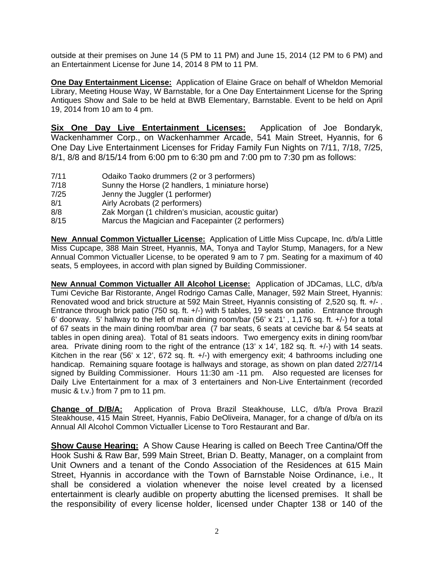outside at their premises on June 14 (5 PM to 11 PM) and June 15, 2014 (12 PM to 6 PM) and an Entertainment License for June 14, 2014 8 PM to 11 PM.

**One Day Entertainment License:** Application of Elaine Grace on behalf of Wheldon Memorial Library, Meeting House Way, W Barnstable, for a One Day Entertainment License for the Spring Antiques Show and Sale to be held at BWB Elementary, Barnstable. Event to be held on April 19, 2014 from 10 am to 4 pm.

**Six One Day Live Entertainment Licenses:** Application of Joe Bondaryk, Wackenhammer Corp., on Wackenhammer Arcade, 541 Main Street, Hyannis, for 6 One Day Live Entertainment Licenses for Friday Family Fun Nights on 7/11, 7/18, 7/25, 8/1, 8/8 and 8/15/14 from 6:00 pm to 6:30 pm and 7:00 pm to 7:30 pm as follows:

- 7/11 Odaiko Taoko drummers (2 or 3 performers)
- 7/18 Sunny the Horse (2 handlers, 1 miniature horse)
- 7/25 Jenny the Juggler (1 performer)
- 8/1 Airly Acrobats (2 performers)
- 8/8 Zak Morgan (1 children's musician, acoustic guitar)
- 8/15 Marcus the Magician and Facepainter (2 performers)

**New Annual Common Victualler License:** Application of Little Miss Cupcape, Inc. d/b/a Little Miss Cupcape, 388 Main Street, Hyannis, MA, Tonya and Taylor Stump, Managers, for a New Annual Common Victualler License, to be operated 9 am to 7 pm. Seating for a maximum of 40 seats, 5 employees, in accord with plan signed by Building Commissioner.

**New Annual Common Victualler All Alcohol License:** Application of JDCamas, LLC, d/b/a Tumi Ceviche Bar Ristorante, Angel Rodrigo Camas Calle, Manager, 592 Main Street, Hyannis: Renovated wood and brick structure at 592 Main Street, Hyannis consisting of 2,520 sq. ft. +/- . Entrance through brick patio (750 sq. ft. +/-) with 5 tables, 19 seats on patio. Entrance through 6' doorway. 5' hallway to the left of main dining room/bar (56' x 21' , 1,176 sq. ft. +/-) for a total of 67 seats in the main dining room/bar area (7 bar seats, 6 seats at ceviche bar & 54 seats at tables in open dining area). Total of 81 seats indoors. Two emergency exits in dining room/bar area. Private dining room to the right of the entrance (13' x 14', 182 sq. ft. +/-) with 14 seats. Kitchen in the rear (56' x 12', 672 sq. ft.  $+/-$ ) with emergency exit; 4 bathrooms including one handicap. Remaining square footage is hallways and storage, as shown on plan dated 2/27/14 signed by Building Commissioner. Hours 11:30 am -11 pm. Also requested are licenses for Daily Live Entertainment for a max of 3 entertainers and Non-Live Entertainment (recorded music & t.v.) from 7 pm to 11 pm.

**Change of D/B/A:** Application of Prova Brazil Steakhouse, LLC, d/b/a Prova Brazil Steakhouse, 415 Main Street, Hyannis, Fabio DeOliveira, Manager, for a change of d/b/a on its Annual All Alcohol Common Victualler License to Toro Restaurant and Bar.

**Show Cause Hearing:** A Show Cause Hearing is called on Beech Tree Cantina/Off the Hook Sushi & Raw Bar, 599 Main Street, Brian D. Beatty, Manager, on a complaint from Unit Owners and a tenant of the Condo Association of the Residences at 615 Main Street, Hyannis in accordance with the Town of Barnstable Noise Ordinance, i.e., It shall be considered a violation whenever the noise level created by a licensed entertainment is clearly audible on property abutting the licensed premises. It shall be the responsibility of every license holder, licensed under Chapter 138 or 140 of the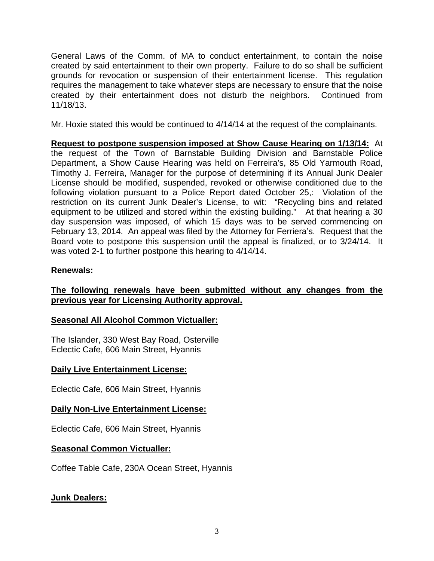General Laws of the Comm. of MA to conduct entertainment, to contain the noise created by said entertainment to their own property. Failure to do so shall be sufficient grounds for revocation or suspension of their entertainment license. This regulation requires the management to take whatever steps are necessary to ensure that the noise created by their entertainment does not disturb the neighbors. Continued from 11/18/13.

Mr. Hoxie stated this would be continued to 4/14/14 at the request of the complainants.

**Request to postpone suspension imposed at Show Cause Hearing on 1/13/14:** At the request of the Town of Barnstable Building Division and Barnstable Police Department, a Show Cause Hearing was held on Ferreira's, 85 Old Yarmouth Road, Timothy J. Ferreira, Manager for the purpose of determining if its Annual Junk Dealer License should be modified, suspended, revoked or otherwise conditioned due to the following violation pursuant to a Police Report dated October 25,: Violation of the restriction on its current Junk Dealer's License, to wit: "Recycling bins and related equipment to be utilized and stored within the existing building." At that hearing a 30 day suspension was imposed, of which 15 days was to be served commencing on February 13, 2014. An appeal was filed by the Attorney for Ferriera's. Request that the Board vote to postpone this suspension until the appeal is finalized, or to 3/24/14. It was voted 2-1 to further postpone this hearing to 4/14/14.

## **Renewals:**

## **The following renewals have been submitted without any changes from the previous year for Licensing Authority approval.**

## **Seasonal All Alcohol Common Victualler:**

The Islander, 330 West Bay Road, Osterville Eclectic Cafe, 606 Main Street, Hyannis

## **Daily Live Entertainment License:**

Eclectic Cafe, 606 Main Street, Hyannis

## **Daily Non-Live Entertainment License:**

Eclectic Cafe, 606 Main Street, Hyannis

#### **Seasonal Common Victualler:**

Coffee Table Cafe, 230A Ocean Street, Hyannis

## **Junk Dealers:**